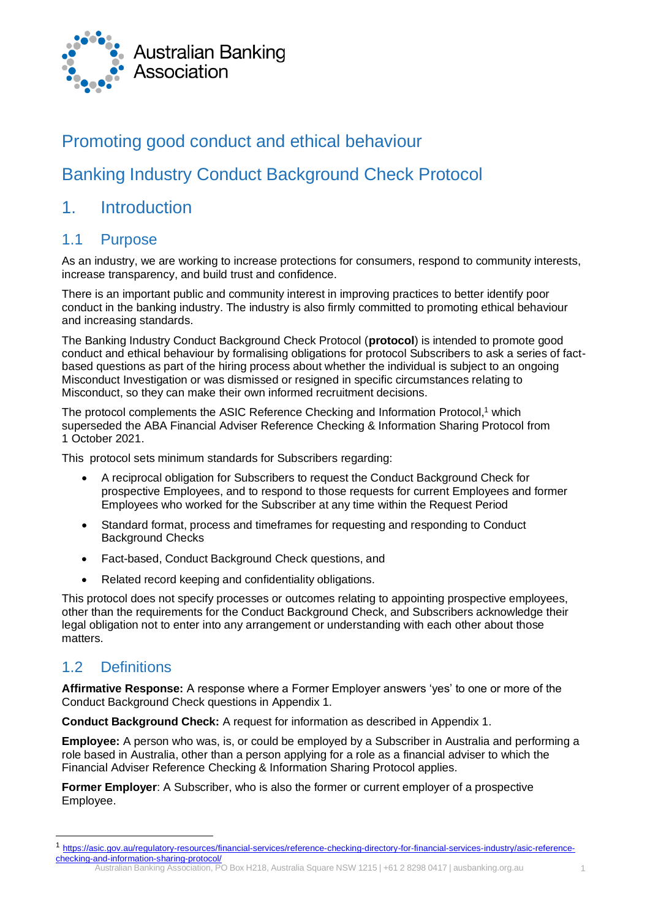

### Promoting good conduct and ethical behaviour

## Banking Industry Conduct Background Check Protocol

### 1. Introduction

### 1.1 Purpose

As an industry, we are working to increase protections for consumers, respond to community interests, increase transparency, and build trust and confidence.

There is an important public and community interest in improving practices to better identify poor conduct in the banking industry. The industry is also firmly committed to promoting ethical behaviour and increasing standards.

The Banking Industry Conduct Background Check Protocol (**protocol**) is intended to promote good conduct and ethical behaviour by formalising obligations for protocol Subscribers to ask a series of factbased questions as part of the hiring process about whether the individual is subject to an ongoing Misconduct Investigation or was dismissed or resigned in specific circumstances relating to Misconduct, so they can make their own informed recruitment decisions.

The protocol complements the ASIC Reference Checking and Information Protocol,<sup>1</sup> which superseded the ABA Financial Adviser Reference Checking & Information Sharing Protocol from 1 October 2021.

This protocol sets minimum standards for Subscribers regarding:

- A reciprocal obligation for Subscribers to request the Conduct Background Check for prospective Employees, and to respond to those requests for current Employees and former Employees who worked for the Subscriber at any time within the Request Period
- Standard format, process and timeframes for requesting and responding to Conduct Background Checks
- Fact-based, Conduct Background Check questions, and
- Related record keeping and confidentiality obligations.

This protocol does not specify processes or outcomes relating to appointing prospective employees, other than the requirements for the Conduct Background Check, and Subscribers acknowledge their legal obligation not to enter into any arrangement or understanding with each other about those matters.

### 1.2 Definitions

**Affirmative Response:** A response where a Former Employer answers 'yes' to one or more of the Conduct Background Check questions in Appendix 1.

**Conduct Background Check:** A request for information as described in Appendix 1.

**Employee:** A person who was, is, or could be employed by a Subscriber in Australia and performing a role based in Australia, other than a person applying for a role as a financial adviser to which the Financial Adviser Reference Checking & Information Sharing Protocol applies.

**Former Employer**: A Subscriber, who is also the former or current employer of a prospective Employee.

Australian Banking Association, PO Box H218, Australia Square NSW 1215 | +61 2 8298 0417 | ausbanking.org.au 1

<sup>1</sup> [https://asic.gov.au/regulatory-resources/financial-services/reference-checking-directory-for-financial-services-industry/asic-reference](https://asic.gov.au/regulatory-resources/financial-services/reference-checking-directory-for-financial-services-industry/asic-reference-checking-and-information-sharing-protocol/)[checking-and-information-sharing-protocol/](https://asic.gov.au/regulatory-resources/financial-services/reference-checking-directory-for-financial-services-industry/asic-reference-checking-and-information-sharing-protocol/)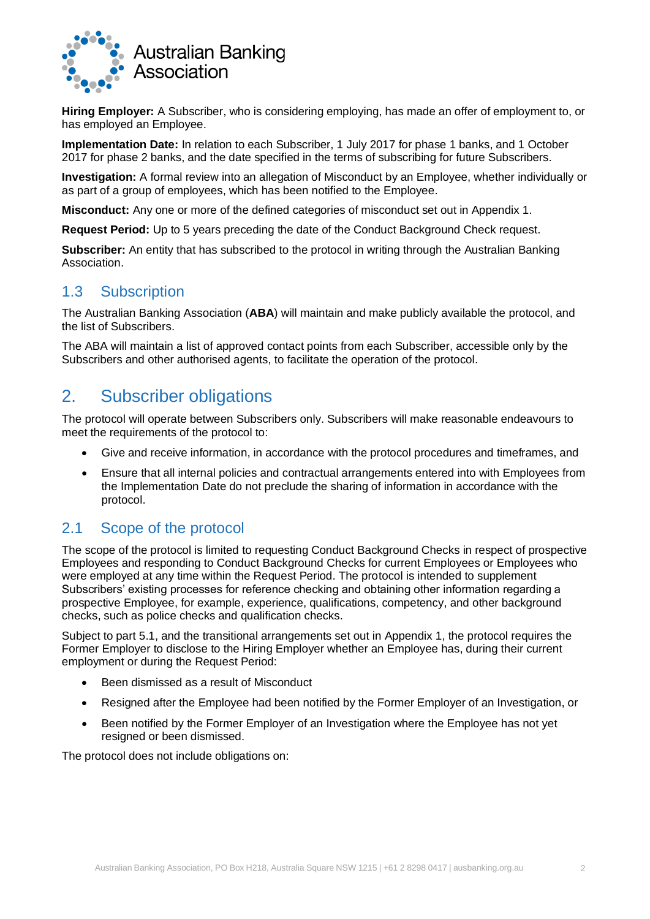

**Hiring Employer:** A Subscriber, who is considering employing, has made an offer of employment to, or has employed an Employee.

**Implementation Date:** In relation to each Subscriber, 1 July 2017 for phase 1 banks, and 1 October 2017 for phase 2 banks, and the date specified in the terms of subscribing for future Subscribers.

**Investigation:** A formal review into an allegation of Misconduct by an Employee, whether individually or as part of a group of employees, which has been notified to the Employee.

**Misconduct:** Any one or more of the defined categories of misconduct set out in Appendix 1.

**Request Period:** Up to 5 years preceding the date of the Conduct Background Check request.

**Subscriber:** An entity that has subscribed to the protocol in writing through the Australian Banking Association.

### 1.3 Subscription

The Australian Banking Association (**ABA**) will maintain and make publicly available the protocol, and the list of Subscribers.

The ABA will maintain a list of approved contact points from each Subscriber, accessible only by the Subscribers and other authorised agents, to facilitate the operation of the protocol.

### 2. Subscriber obligations

The protocol will operate between Subscribers only. Subscribers will make reasonable endeavours to meet the requirements of the protocol to:

- Give and receive information, in accordance with the protocol procedures and timeframes, and
- Ensure that all internal policies and contractual arrangements entered into with Employees from the Implementation Date do not preclude the sharing of information in accordance with the protocol.

### 2.1 Scope of the protocol

The scope of the protocol is limited to requesting Conduct Background Checks in respect of prospective Employees and responding to Conduct Background Checks for current Employees or Employees who were employed at any time within the Request Period. The protocol is intended to supplement Subscribers' existing processes for reference checking and obtaining other information regarding a prospective Employee, for example, experience, qualifications, competency, and other background checks, such as police checks and qualification checks.

Subject to part 5.1, and the transitional arrangements set out in Appendix 1, the protocol requires the Former Employer to disclose to the Hiring Employer whether an Employee has, during their current employment or during the Request Period:

- Been dismissed as a result of Misconduct
- Resigned after the Employee had been notified by the Former Employer of an Investigation, or
- Been notified by the Former Employer of an Investigation where the Employee has not yet resigned or been dismissed.

The protocol does not include obligations on: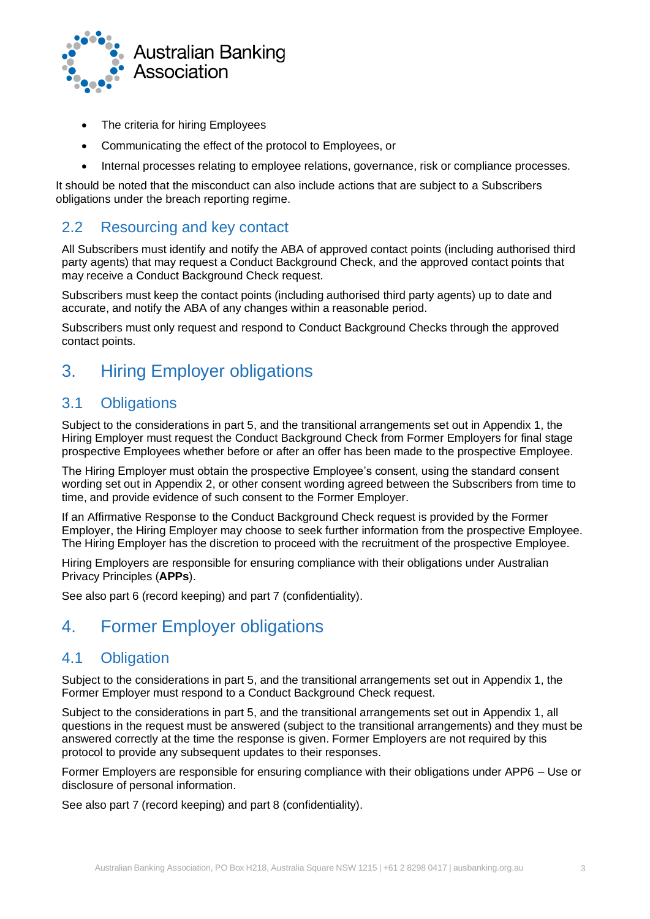

- The criteria for hiring Employees
- Communicating the effect of the protocol to Employees, or
- Internal processes relating to employee relations, governance, risk or compliance processes.

It should be noted that the misconduct can also include actions that are subject to a Subscribers obligations under the breach reporting regime.

### 2.2 Resourcing and key contact

All Subscribers must identify and notify the ABA of approved contact points (including authorised third party agents) that may request a Conduct Background Check, and the approved contact points that may receive a Conduct Background Check request.

Subscribers must keep the contact points (including authorised third party agents) up to date and accurate, and notify the ABA of any changes within a reasonable period.

Subscribers must only request and respond to Conduct Background Checks through the approved contact points.

# 3. Hiring Employer obligations

#### 3.1 Obligations

Subject to the considerations in part 5, and the transitional arrangements set out in Appendix 1, the Hiring Employer must request the Conduct Background Check from Former Employers for final stage prospective Employees whether before or after an offer has been made to the prospective Employee.

The Hiring Employer must obtain the prospective Employee's consent, using the standard consent wording set out in Appendix 2, or other consent wording agreed between the Subscribers from time to time, and provide evidence of such consent to the Former Employer.

If an Affirmative Response to the Conduct Background Check request is provided by the Former Employer, the Hiring Employer may choose to seek further information from the prospective Employee. The Hiring Employer has the discretion to proceed with the recruitment of the prospective Employee.

Hiring Employers are responsible for ensuring compliance with their obligations under Australian Privacy Principles (**APPs**).

See also part 6 (record keeping) and part 7 (confidentiality).

### 4. Former Employer obligations

### 4.1 Obligation

Subject to the considerations in part 5, and the transitional arrangements set out in Appendix 1, the Former Employer must respond to a Conduct Background Check request.

Subject to the considerations in part 5, and the transitional arrangements set out in Appendix 1, all questions in the request must be answered (subject to the transitional arrangements) and they must be answered correctly at the time the response is given. Former Employers are not required by this protocol to provide any subsequent updates to their responses.

Former Employers are responsible for ensuring compliance with their obligations under APP6 – Use or disclosure of personal information.

See also part 7 (record keeping) and part 8 (confidentiality).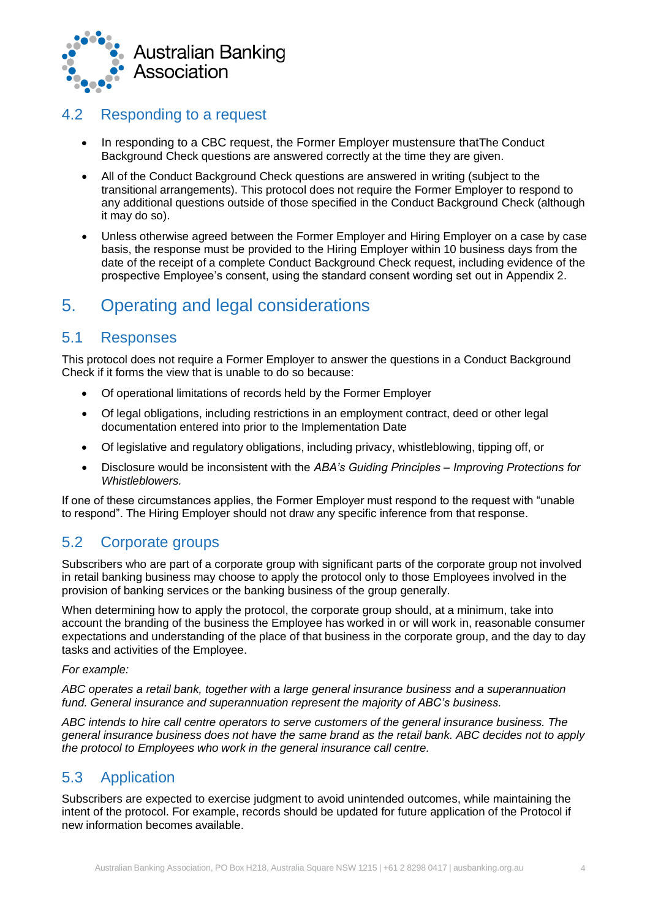

### 4.2 Responding to a request

- In responding to a CBC request, the Former Employer mustensure thatThe Conduct Background Check questions are answered correctly at the time they are given.
- All of the Conduct Background Check questions are answered in writing (subject to the transitional arrangements). This protocol does not require the Former Employer to respond to any additional questions outside of those specified in the Conduct Background Check (although it may do so).
- Unless otherwise agreed between the Former Employer and Hiring Employer on a case by case basis, the response must be provided to the Hiring Employer within 10 business days from the date of the receipt of a complete Conduct Background Check request, including evidence of the prospective Employee's consent, using the standard consent wording set out in Appendix 2.

## 5. Operating and legal considerations

### 5.1 Responses

This protocol does not require a Former Employer to answer the questions in a Conduct Background Check if it forms the view that is unable to do so because:

- Of operational limitations of records held by the Former Employer
- Of legal obligations, including restrictions in an employment contract, deed or other legal documentation entered into prior to the Implementation Date
- Of legislative and regulatory obligations, including privacy, whistleblowing, tipping off, or
- Disclosure would be inconsistent with the *ABA's Guiding Principles – Improving Protections for Whistleblowers.*

If one of these circumstances applies, the Former Employer must respond to the request with "unable to respond". The Hiring Employer should not draw any specific inference from that response.

### 5.2 Corporate groups

Subscribers who are part of a corporate group with significant parts of the corporate group not involved in retail banking business may choose to apply the protocol only to those Employees involved in the provision of banking services or the banking business of the group generally.

When determining how to apply the protocol, the corporate group should, at a minimum, take into account the branding of the business the Employee has worked in or will work in, reasonable consumer expectations and understanding of the place of that business in the corporate group, and the day to day tasks and activities of the Employee.

#### *For example:*

*ABC operates a retail bank, together with a large general insurance business and a superannuation fund. General insurance and superannuation represent the majority of ABC's business.*

*ABC intends to hire call centre operators to serve customers of the general insurance business. The general insurance business does not have the same brand as the retail bank. ABC decides not to apply the protocol to Employees who work in the general insurance call centre.*

### 5.3 Application

Subscribers are expected to exercise judgment to avoid unintended outcomes, while maintaining the intent of the protocol. For example, records should be updated for future application of the Protocol if new information becomes available.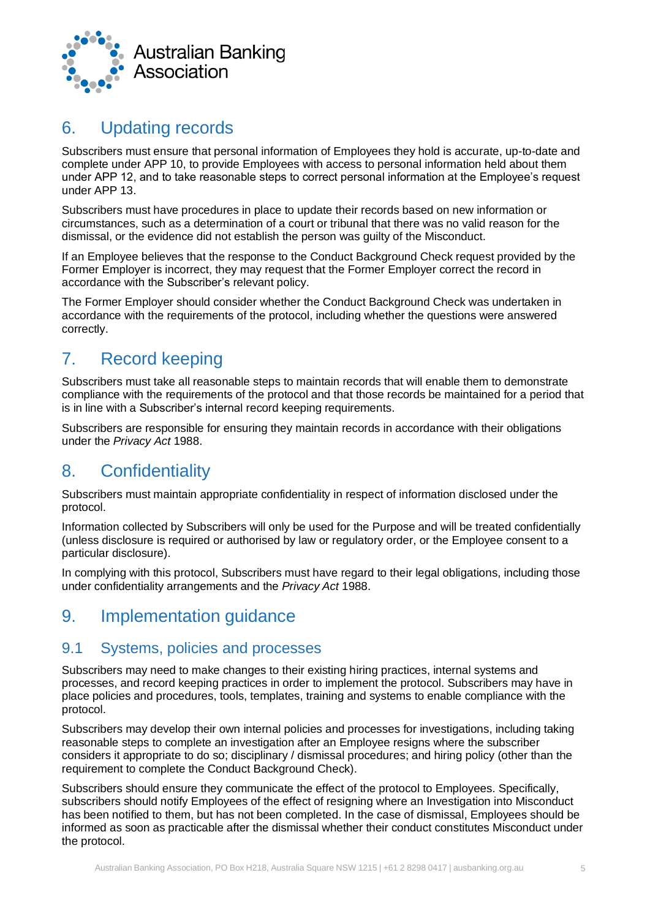

## 6. Updating records

Subscribers must ensure that personal information of Employees they hold is accurate, up-to-date and complete under APP 10, to provide Employees with access to personal information held about them under APP 12, and to take reasonable steps to correct personal information at the Employee's request under APP 13.

Subscribers must have procedures in place to update their records based on new information or circumstances, such as a determination of a court or tribunal that there was no valid reason for the dismissal, or the evidence did not establish the person was guilty of the Misconduct.

If an Employee believes that the response to the Conduct Background Check request provided by the Former Employer is incorrect, they may request that the Former Employer correct the record in accordance with the Subscriber's relevant policy.

The Former Employer should consider whether the Conduct Background Check was undertaken in accordance with the requirements of the protocol, including whether the questions were answered correctly.

# 7. Record keeping

Subscribers must take all reasonable steps to maintain records that will enable them to demonstrate compliance with the requirements of the protocol and that those records be maintained for a period that is in line with a Subscriber's internal record keeping requirements.

Subscribers are responsible for ensuring they maintain records in accordance with their obligations under the *Privacy Act* 1988.

## 8. Confidentiality

Subscribers must maintain appropriate confidentiality in respect of information disclosed under the protocol.

Information collected by Subscribers will only be used for the Purpose and will be treated confidentially (unless disclosure is required or authorised by law or regulatory order, or the Employee consent to a particular disclosure).

In complying with this protocol, Subscribers must have regard to their legal obligations, including those under confidentiality arrangements and the *Privacy Act* 1988.

## 9. Implementation guidance

### 9.1 Systems, policies and processes

Subscribers may need to make changes to their existing hiring practices, internal systems and processes, and record keeping practices in order to implement the protocol. Subscribers may have in place policies and procedures, tools, templates, training and systems to enable compliance with the protocol.

Subscribers may develop their own internal policies and processes for investigations, including taking reasonable steps to complete an investigation after an Employee resigns where the subscriber considers it appropriate to do so; disciplinary / dismissal procedures; and hiring policy (other than the requirement to complete the Conduct Background Check).

Subscribers should ensure they communicate the effect of the protocol to Employees. Specifically, subscribers should notify Employees of the effect of resigning where an Investigation into Misconduct has been notified to them, but has not been completed. In the case of dismissal, Employees should be informed as soon as practicable after the dismissal whether their conduct constitutes Misconduct under the protocol.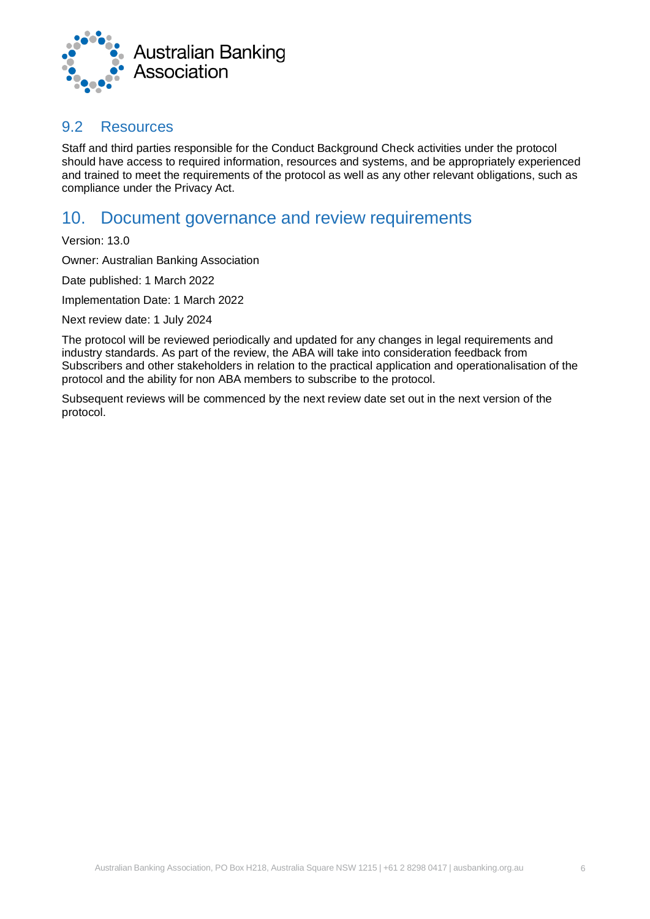

#### 9.2 Resources

Staff and third parties responsible for the Conduct Background Check activities under the protocol should have access to required information, resources and systems, and be appropriately experienced and trained to meet the requirements of the protocol as well as any other relevant obligations, such as compliance under the Privacy Act.

### 10. Document governance and review requirements

Version: 13.0

Owner: Australian Banking Association

Date published: 1 March 2022

Implementation Date: 1 March 2022

Next review date: 1 July 2024

The protocol will be reviewed periodically and updated for any changes in legal requirements and industry standards. As part of the review, the ABA will take into consideration feedback from Subscribers and other stakeholders in relation to the practical application and operationalisation of the protocol and the ability for non ABA members to subscribe to the protocol.

Subsequent reviews will be commenced by the next review date set out in the next version of the protocol.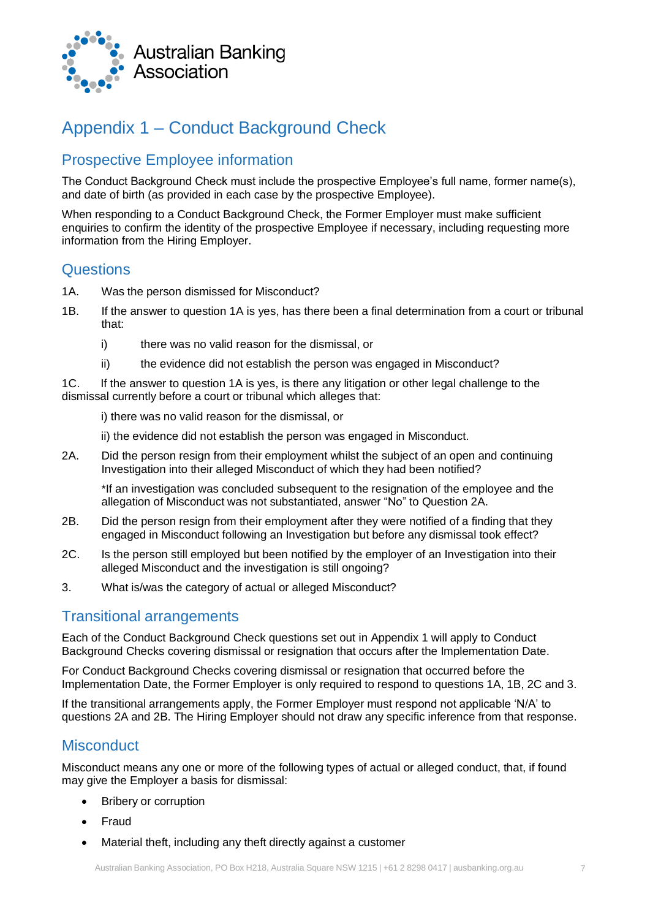

# Appendix 1 – Conduct Background Check

### Prospective Employee information

The Conduct Background Check must include the prospective Employee's full name, former name(s), and date of birth (as provided in each case by the prospective Employee).

When responding to a Conduct Background Check, the Former Employer must make sufficient enquiries to confirm the identity of the prospective Employee if necessary, including requesting more information from the Hiring Employer.

#### **Questions**

- 1A. Was the person dismissed for Misconduct?
- 1B. If the answer to question 1A is yes, has there been a final determination from a court or tribunal that:
	- i) there was no valid reason for the dismissal, or
	- ii) the evidence did not establish the person was engaged in Misconduct?

1C. If the answer to question 1A is yes, is there any litigation or other legal challenge to the dismissal currently before a court or tribunal which alleges that:

i) there was no valid reason for the dismissal, or

ii) the evidence did not establish the person was engaged in Misconduct.

2A. Did the person resign from their employment whilst the subject of an open and continuing Investigation into their alleged Misconduct of which they had been notified?

\*If an investigation was concluded subsequent to the resignation of the employee and the allegation of Misconduct was not substantiated, answer "No" to Question 2A.

- 2B. Did the person resign from their employment after they were notified of a finding that they engaged in Misconduct following an Investigation but before any dismissal took effect?
- 2C. Is the person still employed but been notified by the employer of an Investigation into their alleged Misconduct and the investigation is still ongoing?
- 3. What is/was the category of actual or alleged Misconduct?

### Transitional arrangements

Each of the Conduct Background Check questions set out in Appendix 1 will apply to Conduct Background Checks covering dismissal or resignation that occurs after the Implementation Date.

For Conduct Background Checks covering dismissal or resignation that occurred before the Implementation Date, the Former Employer is only required to respond to questions 1A, 1B, 2C and 3.

If the transitional arrangements apply, the Former Employer must respond not applicable 'N/A' to questions 2A and 2B. The Hiring Employer should not draw any specific inference from that response.

### **Misconduct**

Misconduct means any one or more of the following types of actual or alleged conduct, that, if found may give the Employer a basis for dismissal:

- Bribery or corruption
- Fraud
- Material theft, including any theft directly against a customer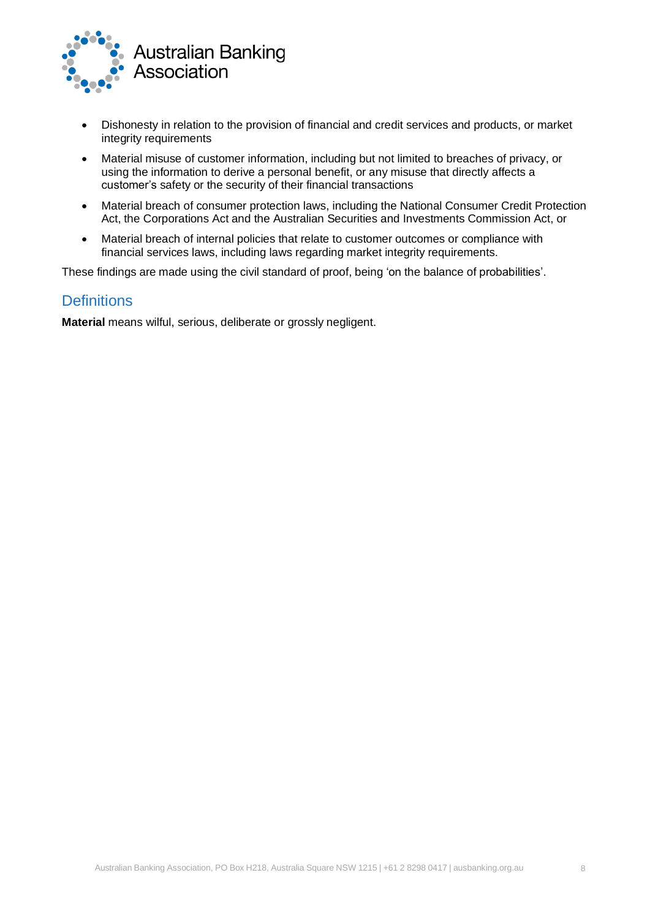

- Dishonesty in relation to the provision of financial and credit services and products, or market integrity requirements
- Material misuse of customer information, including but not limited to breaches of privacy, or using the information to derive a personal benefit, or any misuse that directly affects a customer's safety or the security of their financial transactions
- Material breach of consumer protection laws, including the National Consumer Credit Protection Act, the Corporations Act and the Australian Securities and Investments Commission Act, or
- Material breach of internal policies that relate to customer outcomes or compliance with financial services laws, including laws regarding market integrity requirements.

These findings are made using the civil standard of proof, being 'on the balance of probabilities'.

#### **Definitions**

**Material** means wilful, serious, deliberate or grossly negligent.